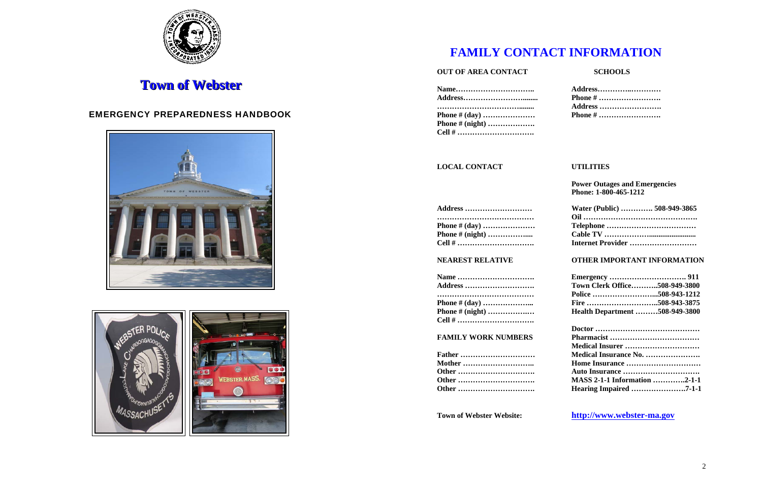

# **Town of Webster**

### EMERGENCY PREPAREDNESS HANDBOOK





# **FAMILY CONTACT INFORMATION**

### **OUT OF AREA CONTACT**

|                         | Address        |
|-------------------------|----------------|
|                         | <b>Phone #</b> |
|                         | Address        |
|                         | <b>Phone #</b> |
| <b>Phone # (night) </b> |                |
|                         |                |

### **LOCAL CONTACT**

| <b>Address </b>       |
|-----------------------|
| <b>Phone # (day) </b> |
| Phone # (night)       |
| Cell #                |

**Power Outages and Emergencies Phone: 1-800-465-1212**

| <b>Address </b>       | Water (Public)  508-949-3865 |
|-----------------------|------------------------------|
|                       |                              |
| <b>Phone # (day) </b> |                              |
| Phone # (night)       |                              |
|                       | Internet Provider            |

### **NEAREST RELATIVE OTHER IMPORTANT INFORMATION**

| <b>Name</b>             |                                      |  |
|-------------------------|--------------------------------------|--|
| <b>Address </b>         | <b>Town Clerk Office508-949-3800</b> |  |
|                         |                                      |  |
| Phone # (day)           |                                      |  |
| <b>Phone # (night) </b> | Health Department 508-949-3800       |  |

| Name                    |
|-------------------------|
| Address                 |
|                         |
|                         |
|                         |
| <b>Phone # (night) </b> |
|                         |

### **FAMILY WORK NUMBERS**

| <b>Father </b> |
|----------------|
|                |
|                |
|                |
| Other          |

### **SCHOOLS**

| Address |
|---------|
| Phone # |
| Address |
| Phone # |

### **UTILITIES**

| <b>FAMILY WORK NUMBERS</b> |                                     |
|----------------------------|-------------------------------------|
|                            |                                     |
| <b>Father </b>             | Medical Insurance No.               |
| <b>Mother </b>             | Home Insurance                      |
|                            |                                     |
|                            | <b>MASS 2-1-1 Information 2-1-1</b> |
|                            |                                     |
|                            |                                     |

### **Town of Webster Website: http://www.webster-ma.gov**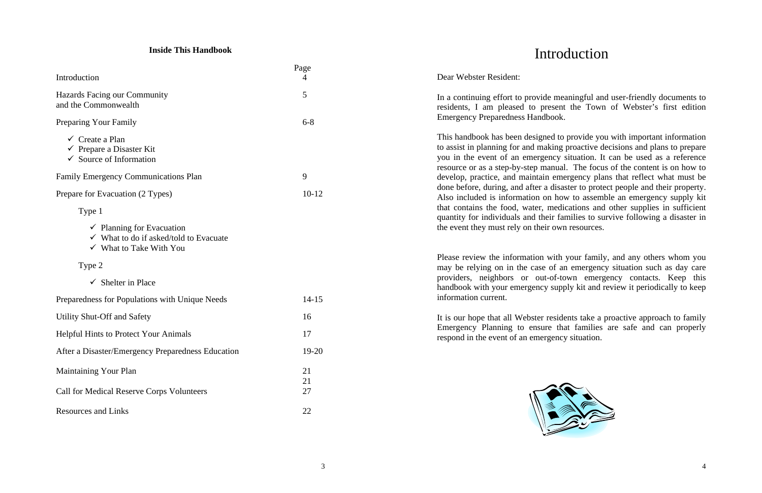### **Inside This Handbook**

|                                                                                                                                 | Page      |  |
|---------------------------------------------------------------------------------------------------------------------------------|-----------|--|
| Introduction                                                                                                                    | 4         |  |
| Hazards Facing our Community<br>and the Commonwealth                                                                            | 5         |  |
| <b>Preparing Your Family</b>                                                                                                    | $6 - 8$   |  |
| $\checkmark$ Create a Plan<br>$\checkmark$ Prepare a Disaster Kit<br>$\checkmark$ Source of Information                         |           |  |
| <b>Family Emergency Communications Plan</b>                                                                                     | 9         |  |
| Prepare for Evacuation (2 Types)                                                                                                | $10-12$   |  |
| Type 1                                                                                                                          |           |  |
| $\checkmark$ Planning for Evacuation<br>$\checkmark$ What to do if asked/told to Evacuate<br>$\checkmark$ What to Take With You |           |  |
| Type 2                                                                                                                          |           |  |
| $\checkmark$ Shelter in Place                                                                                                   |           |  |
| Preparedness for Populations with Unique Needs                                                                                  | $14 - 15$ |  |
| <b>Utility Shut-Off and Safety</b>                                                                                              | 16        |  |
| <b>Helpful Hints to Protect Your Animals</b>                                                                                    | 17        |  |
| After a Disaster/Emergency Preparedness Education                                                                               | 19-20     |  |
| <b>Maintaining Your Plan</b>                                                                                                    | 21        |  |
| <b>Call for Medical Reserve Corps Volunteers</b>                                                                                | 21<br>27  |  |
| <b>Resources and Links</b>                                                                                                      | 22        |  |

# Introduction

Dear Webster Resident:

In a continuing effort to provide meaningful and user-friendly documents to residents, I am pleased to present the Town of Webster's first edition

Emergency Preparedness Handbook. This handbook has been designed to provide you with important information to assist in planning for and making proactive decisions and plans to prepare you in the event of an emergency situation. It can be used as a reference resource or as a step-by-step manual. The focus of the content is on how to develop, practice, and maintain emergency plans that reflect what must be done before, during, and after a disaster to protect people and their property. Also included is information on how to assemble an emergency supply kit that contains the food, water, medications and other supplies in sufficient quantity for individuals and their families to survive following a disaster in the event they must rely on their own resources.

Please review the information with your family, and any others whom you may be relying on in the case of an emergency situation such as day care providers, neighbors or out-of-town emergency contacts. Keep this handbook with your emergency supply kit and review it periodically to keep information current.

It is our hope that all Webster residents take a proactive approach to family Emergency Planning to ensure that families are safe and can properly respond in the event of an emergency situation.

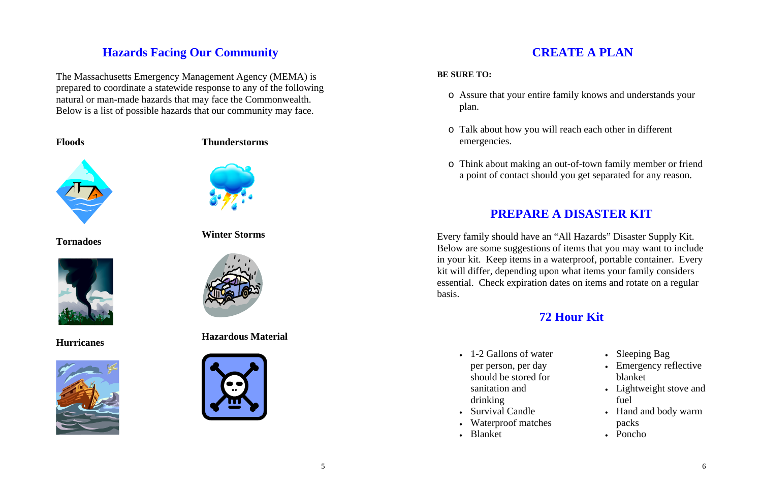## **Hazards Facing Our Community**

The Massachusetts Emergency Management Agency (MEMA) is prepared to coordinate a statewide response to any of the following natural or man-made hazards that may face the Commonwealth. Below is a list of possible hazards that our community may face.

### **Floods**



**Tornadoes** 



**Hurricanes** 



### **Thunderstorms**



### **Winter Storms**



### **Hazardous Material**



# **CREATE A PLAN**

### **BE SURE TO:**

o Assure that your entire family knows and understands your

- plan.
- o Talk about how you will reach each other in different emergencies.
- 

- 1-2 Gallons of water per person, per day should be stored for sanitation and drinking
- Survival Candle
- Waterproof matches
- Blanket

o Think about making an out-of-town family member or friend a point of contact should you get separated for any reason.

# **PREPARE A DISASTER KIT**

Every family should have an "All Hazards" Disaster Supply Kit. Below are some suggestions of items that you may want to include in your kit. Keep items in a waterproof, portable container. Every kit will differ, depending upon what items your family considers essential. Check expiration dates on items and rotate on a regular basis.

## **72 Hour Kit**

- •Sleeping Bag
- Emergency reflective blanket
- Lightweight stove and fuel
- Hand and body warm packs
- Poncho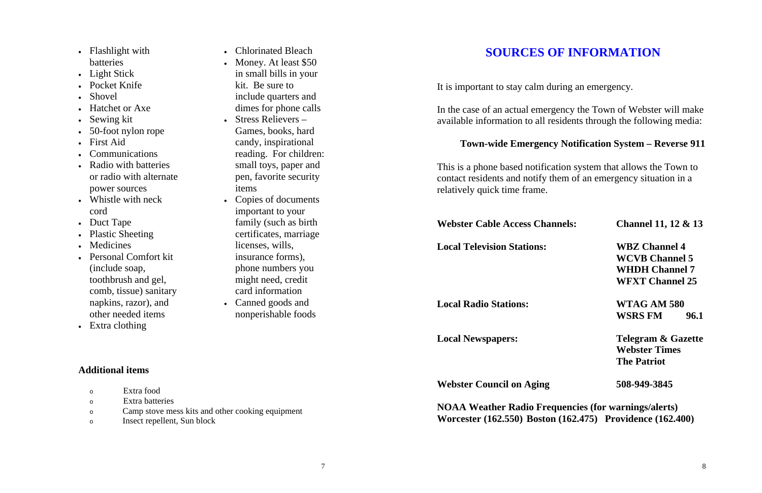- Flashlight with batteries
- Light Stick
- Pocket Knife
- Shovel
- Hatchet or Axe
- Sewing kit
- 50-foot nylon rope
- First Aid
- Communications
- Radio with batteries or radio with alternate power sources
- Whistle with neck cord
- Duct Tape
- Plastic Sheeting
- Medicines
- Personal Comfort kit (include soap, toothbrush and gel, comb, tissue) sanitary napkins, razor), and other needed items
- Extra clothing
- Chlorinated Bleach
- Money. At least \$50 in small bills in your kit. Be sure to include quarters and dimes for phone calls
- • Stress Relievers – Games, books, hard candy, inspirational reading. For children: small toys, paper and pen, favorite security items
- Copies of documents important to your family (such as birth certificates, marriage licenses, wills, insurance forms), phone numbers you might need, credit card information
- • Canned goods and nonperishable foods

**Local Newspapers: Telegram & Gazette Webster Times The Patriot** 

### **Additional items**

| Extra food                                       |
|--------------------------------------------------|
| Extra batteries                                  |
| Camp stove mess kits and other cooking equipment |

# **SOURCES OF INFORMATION**

It is important to stay calm during an emergency.

In the case of an actual emergency the Town of Webster will make available information to all residents through the following media:

### **Town-wide Emergency Notification System – Reverse 911**

This is a phone based notification system that allows the Town to contact residents and notify them of an emergency situation in a relatively quick time frame.

**Webster Cable Access Channels: Channel 11, 12 & 13** 

### **Local Television Stations: WBZ Channel 4**

 **WCVB Channel 5 WHDH Channel 7 WFXT Channel 25** 

**Local Radio Stations: WTAG AM 580** 

 **WSRS FM 96.1** 

**Webster Council on Aging 508-949-3845** 

**NOAA Weather Radio Frequencies (for warnings/alerts) Worcester (162.550) Boston (162.475) Providence (162.400)**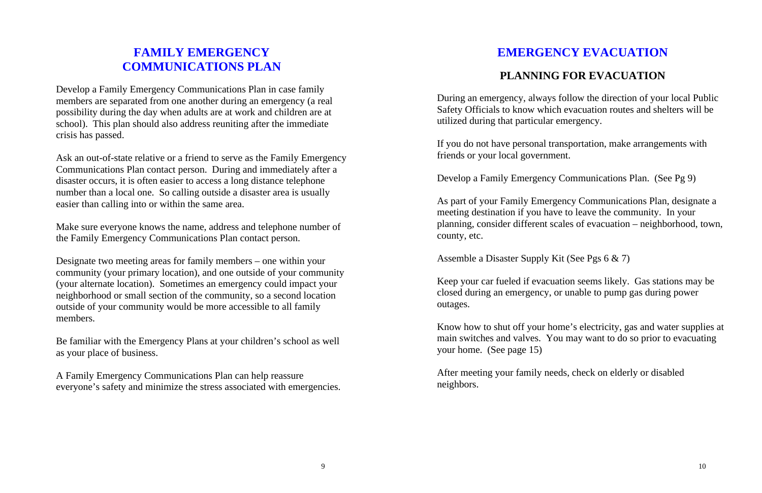## **FAMILY EMERGENCY COMMUNICATIONS PLAN**

Develop a Family Emergency Communications Plan in case family members are separated from one another during an emergency (a real possibility during the day when adults are at work and children are at school). This plan should also address reuniting after the immediate crisis has passed.

Ask an out-of-state relative or a friend to serve as the Family Emergency Communications Plan contact person. During and immediately after a disaster occurs, it is often easier to access a long distance telephone number than a local one. So calling outside a disaster area is usually easier than calling into or within the same area.

Make sure everyone knows the name, address and telephone number of the Family Emergency Communications Plan contact person.

Designate two meeting areas for family members – one within your community (your primary location), and one outside of your community (your alternate location). Sometimes an emergency could impact your neighborhood or small section of the community, so a second location outside of your community would be more accessible to all family members.

Be familiar with the Emergency Plans at your children's school as well as your place of business.

A Family Emergency Communications Plan can help reassure everyone's safety and minimize the stress associated with emergencies.

# **EMERGENCY EVACUATION**

## **PLANNING FOR EVACUATION**

During an emergency, always follow the direction of your local Public Safety Officials to know which evacuation routes and shelters will be utilized during that particular emergency.

If you do not have personal transportation, make arrangements with friends or your local government.

Develop a Family Emergency Communications Plan. (See Pg 9)

As part of your Family Emergency Communications Plan, designate a meeting destination if you have to leave the community. In your planning, consider different scales of evacuation – neighborhood, town, county, etc.

Assemble a Disaster Supply Kit (See Pgs 6 & 7)

Keep your car fueled if evacuation seems likely. Gas stations may be closed during an emergency, or unable to pump gas during power outages.

Know how to shut off your home's electricity, gas and water supplies at main switches and valves. You may want to do so prior to evacuating your home. (See page 15)

After meeting your family needs, check on elderly or disabled neighbors.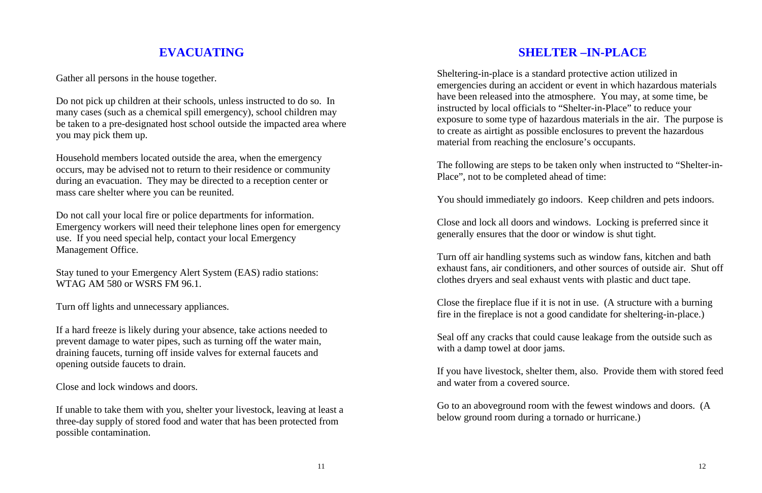# **EVACUATING**

Gather all persons in the house together.

Do not pick up children at their schools, unless instructed to do so. In many cases (such as a chemical spill emergency), school children may be taken to a pre-designated host school outside the impacted area where you may pick them up.

Household members located outside the area, when the emergency occurs, may be advised not to return to their residence or community during an evacuation. They may be directed to a reception center or mass care shelter where you can be reunited.

Do not call your local fire or police departments for information. Emergency workers will need their telephone lines open for emergency use. If you need special help, contact your local Emergency Management Office.

Stay tuned to your Emergency Alert System (EAS) radio stations: WTAG AM 580 or WSRS FM 96.1.

Turn off lights and unnecessary appliances.

If a hard freeze is likely during your absence, take actions needed to prevent damage to water pipes, such as turning off the water main, draining faucets, turning off inside valves for external faucets and opening outside faucets to drain.

Close and lock windows and doors.

If unable to take them with you, shelter your livestock, leaving at least a three-day supply of stored food and water that has been protected from possible contamination.

# **SHELTER –IN-PLACE**

Sheltering-in-place is a standard protective action utilized in emergencies during an accident or event in which hazardous materials have been released into the atmosphere. You may, at some time, be instructed by local officials to "Shelter-in-Place" to reduce your exposure to some type of hazardous materials in the air. The purpose is to create as airtight as possible enclosures to prevent the hazardous material from reaching the enclosure's occupants.

The following are steps to be taken only when instructed to "Shelter-in-Place", not to be completed ahead of time:

You should immediately go indoors. Keep children and pets indoors.

Close and lock all doors and windows. Locking is preferred since it generally ensures that the door or window is shut tight.

Turn off air handling systems such as window fans, kitchen and bath exhaust fans, air conditioners, and other sources of outside air. Shut off clothes dryers and seal exhaust vents with plastic and duct tape.

Close the fireplace flue if it is not in use. (A structure with a burning fire in the fireplace is not a good candidate for sheltering-in-place.)

Seal off any cracks that could cause leakage from the outside such as with a damp towel at door jams.

If you have livestock, shelter them, also. Provide them with stored feed and water from a covered source.

Go to an aboveground room with the fewest windows and doors. (A below ground room during a tornado or hurricane.)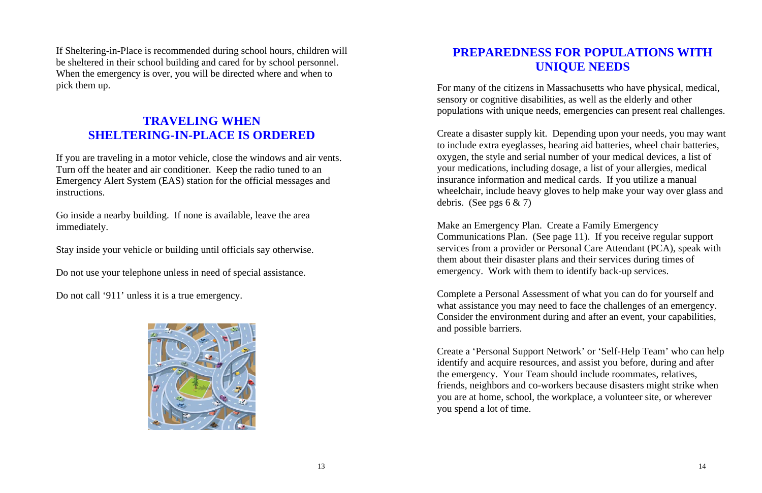If Sheltering-in-Place is recommended during school hours, children will be sheltered in their school building and cared for by school personnel. When the emergency is over, you will be directed where and when to pick them up.

## **TRAVELING WHEN SHELTERING-IN-PLACE IS ORDERED**

If you are traveling in a motor vehicle, close the windows and air vents. Turn off the heater and air conditioner. Keep the radio tuned to an Emergency Alert System (EAS) station for the official messages and instructions.

Create a disaster supply kit. Depending upon your needs, you may want to include extra eyeglasses, hearing aid batteries, wheel chair batteries, oxygen, the style and serial number of your medical devices, a list of your medications, including dosage, a list of your allergies, medical insurance information and medical cards. If you utilize a manual wheelchair, include heavy gloves to help make your way over glass and debris. (See pgs  $6 \& 7$ )

Go inside a nearby building. If none is available, leave the area immediately.

Stay inside your vehicle or building until officials say otherwise.

Do not use your telephone unless in need of special assistance.

Do not call '911' unless it is a true emergency.



## **PREPAREDNESS FOR POPULATIONS WITH UNIQUE NEEDS**

For many of the citizens in Massachusetts who have physical, medical, sensory or cognitive disabilities, as well as the elderly and other populations with unique needs, emergencies can present real challenges.

Make an Emergency Plan. Create a Family Emergency Communications Plan. (See page 11). If you receive regular support services from a provider or Personal Care Attendant (PCA), speak with them about their disaster plans and their services during times of emergency. Work with them to identify back-up services.

Complete a Personal Assessment of what you can do for yourself and what assistance you may need to face the challenges of an emergency. Consider the environment during and after an event, your capabilities, and possible barriers.

Create a 'Personal Support Network' or 'Self-Help Team' who can help identify and acquire resources, and assist you before, during and after the emergency. Your Team should include roommates, relatives, friends, neighbors and co-workers because disasters might strike when you are at home, school, the workplace, a volunteer site, or wherever you spend a lot of time.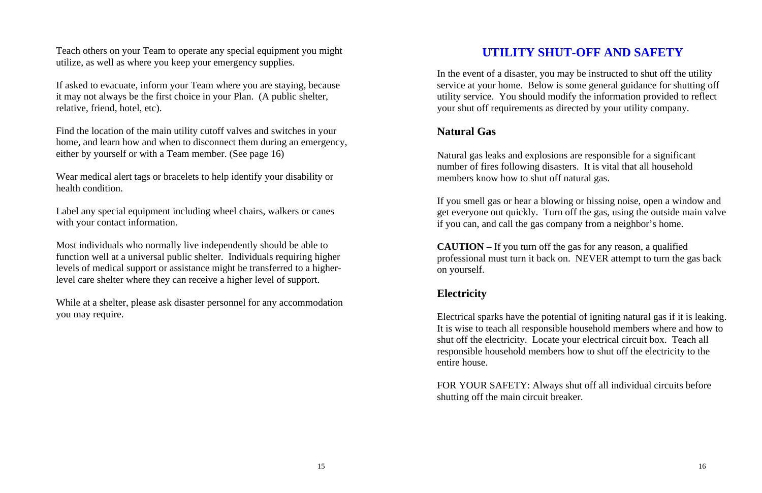Teach others on your Team to operate any special equipment you might utilize, as well as where you keep your emergency supplies.

If asked to evacuate, inform your Team where you are staying, because it may not always be the first choice in your Plan. (A public shelter, relative, friend, hotel, etc).

Find the location of the main utility cutoff valves and switches in your home, and learn how and when to disconnect them during an emergency, either by yourself or with a Team member. (See page 16)

Wear medical alert tags or bracelets to help identify your disability or health condition.

Label any special equipment including wheel chairs, walkers or canes with your contact information.

Most individuals who normally live independently should be able to function well at a universal public shelter. Individuals requiring higher levels of medical support or assistance might be transferred to a higherlevel care shelter where they can receive a higher level of support.

While at a shelter, please ask disaster personnel for any accommodation you may require.

# **UTILITY SHUT-OFF AND SAFETY**

In the event of a disaster, you may be instructed to shut off the utility service at your home. Below is some general guidance for shutting off utility service. You should modify the information provided to reflect your shut off requirements as directed by your utility company.

## **Natural Gas**

Natural gas leaks and explosions are responsible for a significant number of fires following disasters. It is vital that all household members know how to shut off natural gas.

If you smell gas or hear a blowing or hissing noise, open a window and get everyone out quickly. Turn off the gas, using the outside main valve if you can, and call the gas company from a neighbor's home.

**CAUTION** – If you turn off the gas for any reason, a qualified professional must turn it back on. NEVER attempt to turn the gas back on yourself.

## **Electricity**

Electrical sparks have the potential of igniting natural gas if it is leaking. It is wise to teach all responsible household members where and how to shut off the electricity. Locate your electrical circuit box. Teach all responsible household members how to shut off the electricity to the entire house.

FOR YOUR SAFETY: Always shut off all individual circuits before shutting off the main circuit breaker.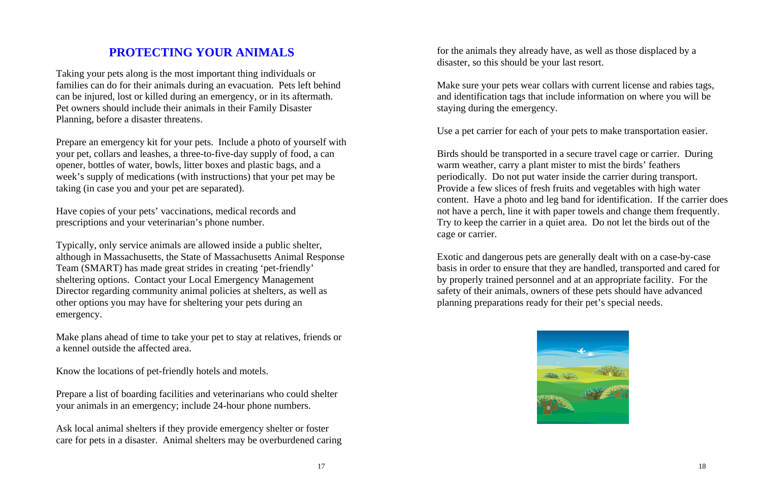# **PROTECTING YOUR ANIMALS**

Taking your pets along is the most important thing individuals or families can do for their animals during an evacuation. Pets left behind can be injured, lost or killed during an emergency, or in its aftermath. Pet owners should include their animals in their Family Disaster Planning, before a disaster threatens.

Prepare an emergency kit for your pets. Include a photo of yourself with your pet, collars and leashes, a three-to-five-day supply of food, a can opener, bottles of water, bowls, litter boxes and plastic bags, and a week's supply of medications (with instructions) that your pet may be taking (in case you and your pet are separated).

Have copies of your pets' vaccinations, medical records and prescriptions and your veterinarian's phone number.

Typically, only service animals are allowed inside a public shelter, although in Massachusetts, the State of Massachusetts Animal Response Team (SMART) has made great strides in creating 'pet-friendly' sheltering options. Contact your Local Emergency Management Director regarding community animal policies at shelters, as well as other options you may have for sheltering your pets during an emergency.

Make plans ahead of time to take your pet to stay at relatives, friends or a kennel outside the affected area.

Know the locations of pet-friendly hotels and motels.

Prepare a list of boarding facilities and veterinarians who could shelter your animals in an emergency; include 24-hour phone numbers.

Ask local animal shelters if they provide emergency shelter or foster care for pets in a disaster. Animal shelters may be overburdened caring for the animals they already have, as well as those displaced by a disaster, so this should be your last resort.

Make sure your pets wear collars with current license and rabies tags, and identification tags that include information on where you will be staying during the emergency.

Use a pet carrier for each of your pets to make transportation easier.

Birds should be transported in a secure travel cage or carrier. During warm weather, carry a plant mister to mist the birds' feathers periodically. Do not put water inside the carrier during transport. Provide a few slices of fresh fruits and vegetables with high water content. Have a photo and leg band for identification. If the carrier does not have a perch, line it with paper towels and change them frequently. Try to keep the carrier in a quiet area. Do not let the birds out of the cage or carrier.

Exotic and dangerous pets are generally dealt with on a case-by-case basis in order to ensure that they are handled, transported and cared for by properly trained personnel and at an appropriate facility. For the safety of their animals, owners of these pets should have advanced planning preparations ready for their pet's special needs.

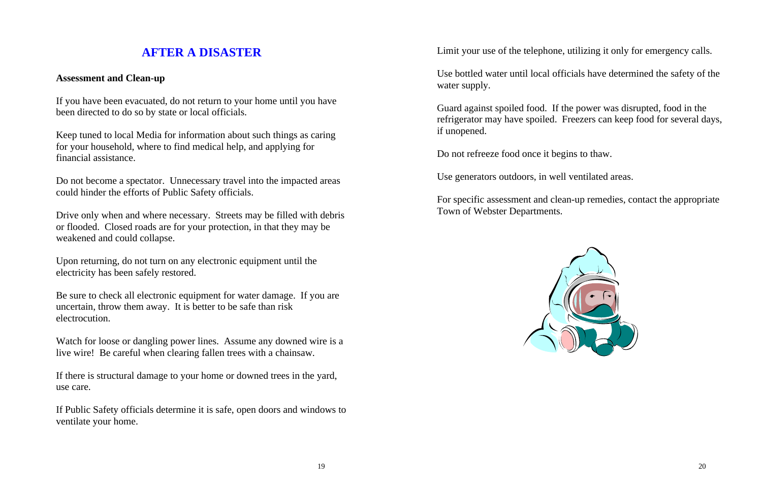# **AFTER A DISASTER**

### **Assessment and Clean-up**

If you have been evacuated, do not return to your home until you have been directed to do so by state or local officials.

Keep tuned to local Media for information about such things as caring for your household, where to find medical help, and applying for financial assistance.

Do not become a spectator. Unnecessary travel into the impacted areas could hinder the efforts of Public Safety officials.

Drive only when and where necessary. Streets may be filled with debris or flooded. Closed roads are for your protection, in that they may be weakened and could collapse.

Upon returning, do not turn on any electronic equipment until the electricity has been safely restored.

Be sure to check all electronic equipment for water damage. If you are uncertain, throw them away. It is better to be safe than risk electrocution.

Watch for loose or dangling power lines. Assume any downed wire is a live wire! Be careful when clearing fallen trees with a chainsaw.

If there is structural damage to your home or downed trees in the yard, use care.

If Public Safety officials determine it is safe, open doors and windows to ventilate your home.

water supply.

- Limit your use of the telephone, utilizing it only for emergency calls.
- Use bottled water until local officials have determined the safety of the
- Guard against spoiled food. If the power was disrupted, food in the refrigerator may have spoiled. Freezers can keep food for several days,
	-
	-
- For specific assessment and clean-up remedies, contact the appropriate

if unopened.

Do not refreeze food once it begins to thaw.

Use generators outdoors, in well ventilated areas.

Town of Webster Departments.

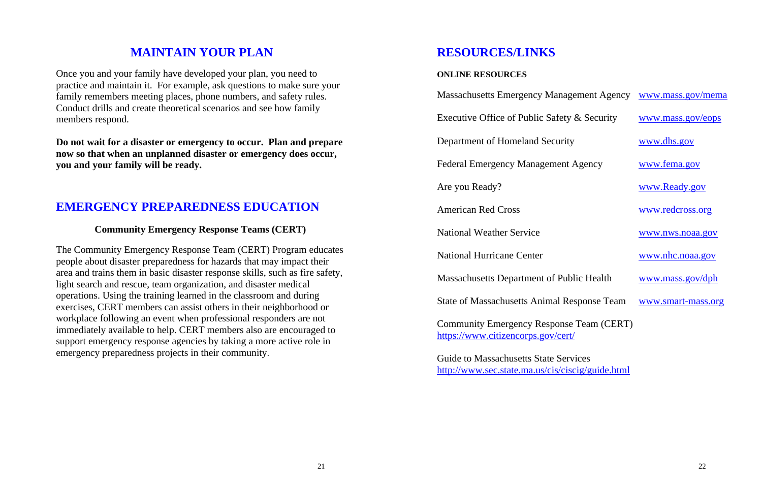|                                 | nagement Agency www.mass.gov/mema |
|---------------------------------|-----------------------------------|
| ety & Security                  | <u>www.mass.gov/eops</u>          |
| rity                            | <u>www.dhs.gov</u>                |
| nt Agency                       | <u>www.fema.gov</u>               |
|                                 | www.Ready.gov                     |
|                                 | www.redcross.org                  |
|                                 | www.nws.noaa.gov                  |
|                                 | <u>www.nhc.noaa.gov</u>           |
| Public Health                   | <u>www.mass.gov/dph</u>           |
| <b>Response Team</b>            | www.smart-mass.org                |
| nse Team (CERT)<br>$\alpha$ rt/ |                                   |

# **MAINTAIN YOUR PLAN**

Once you and your family have developed your plan, you need to practice and maintain it. For example, ask questions to make sure your family remembers meeting places, phone numbers, and safety rules. Conduct drills and create theoretical scenarios and see how family members respond.

**Do not wait for a disaster or emergency to occur. Plan and prepare now so that when an unplanned disaster or emergency does occur, you and your family will be ready.** 

## **EMERGENCY PREPAREDNESS EDUCATION**

### **Community Emergency Response Teams (CERT)**

The Community Emergency Response Team (CERT) Program educates people about disaster preparedness for hazards that may impact their area and trains them in basic disaster response skills, such as fire safety, light search and rescue, team organization, and disaster medical operations. Using the training learned in the classroom and during exercises, CERT members can assist others in their neighborhood or workplace following an event when professional responders are not immediately available to help. CERT members also are encouraged to support emergency response agencies by taking a more active role in emergency preparedness projects in their community.

Community Emergency Response https://www.citizencorps.gov/cert/

## **RESOURCES/LINKS**

### **ONLINE RESOURCES**

Massachusetts Emergency Man

Executive Office of Public Safe

Department of Homeland Security

Federal Emergency Management

Are you Ready?

American Red Cross.

National Weather Service

National Hurricane Center

Massachusetts Department of P

State of Massachusetts Animal

Guide to Massachusetts State Services http://www.sec.state.ma.us/cis/ciscig/guide.html